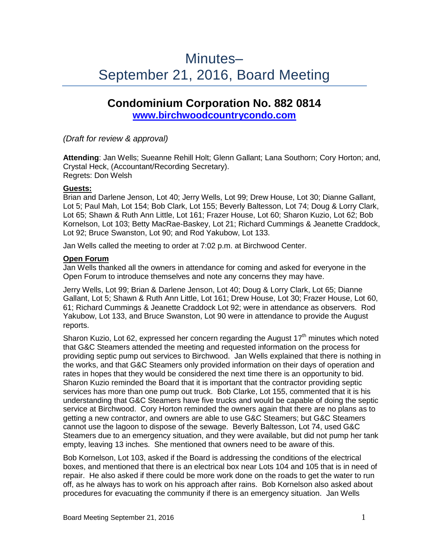# Minutes– September 21, 2016, Board Meeting

## **Condominium Corporation No. 882 0814**

**[www.birchwoodcountrycondo.com](http://www.birchwoodcountrycondo.com/)**

*(Draft for review & approval)*

**Attending**: Jan Wells; Sueanne Rehill Holt; Glenn Gallant; Lana Southorn; Cory Horton; and, Crystal Heck, (Accountant/Recording Secretary). Regrets: Don Welsh

## **Guests:**

Brian and Darlene Jenson, Lot 40; Jerry Wells, Lot 99; Drew House, Lot 30; Dianne Gallant, Lot 5; Paul Mah, Lot 154; Bob Clark, Lot 155; Beverly Baltesson, Lot 74; Doug & Lorry Clark, Lot 65; Shawn & Ruth Ann Little, Lot 161; Frazer House, Lot 60; Sharon Kuzio, Lot 62; Bob Kornelson, Lot 103; Betty MacRae-Baskey, Lot 21; Richard Cummings & Jeanette Craddock, Lot 92; Bruce Swanston, Lot 90; and Rod Yakubow, Lot 133.

Jan Wells called the meeting to order at 7:02 p.m. at Birchwood Center.

## **Open Forum**

Jan Wells thanked all the owners in attendance for coming and asked for everyone in the Open Forum to introduce themselves and note any concerns they may have.

Jerry Wells, Lot 99; Brian & Darlene Jenson, Lot 40; Doug & Lorry Clark, Lot 65; Dianne Gallant, Lot 5; Shawn & Ruth Ann Little, Lot 161; Drew House, Lot 30; Frazer House, Lot 60, 61; Richard Cummings & Jeanette Craddock Lot 92; were in attendance as observers. Rod Yakubow, Lot 133, and Bruce Swanston, Lot 90 were in attendance to provide the August reports.

Sharon Kuzio, Lot 62, expressed her concern regarding the August  $17<sup>th</sup>$  minutes which noted that G&C Steamers attended the meeting and requested information on the process for providing septic pump out services to Birchwood. Jan Wells explained that there is nothing in the works, and that G&C Steamers only provided information on their days of operation and rates in hopes that they would be considered the next time there is an opportunity to bid. Sharon Kuzio reminded the Board that it is important that the contractor providing septic services has more than one pump out truck. Bob Clarke, Lot 155, commented that it is his understanding that G&C Steamers have five trucks and would be capable of doing the septic service at Birchwood. Cory Horton reminded the owners again that there are no plans as to getting a new contractor, and owners are able to use G&C Steamers; but G&C Steamers cannot use the lagoon to dispose of the sewage. Beverly Baltesson, Lot 74, used G&C Steamers due to an emergency situation, and they were available, but did not pump her tank empty, leaving 13 inches. She mentioned that owners need to be aware of this.

Bob Kornelson, Lot 103, asked if the Board is addressing the conditions of the electrical boxes, and mentioned that there is an electrical box near Lots 104 and 105 that is in need of repair. He also asked if there could be more work done on the roads to get the water to run off, as he always has to work on his approach after rains. Bob Kornelson also asked about procedures for evacuating the community if there is an emergency situation. Jan Wells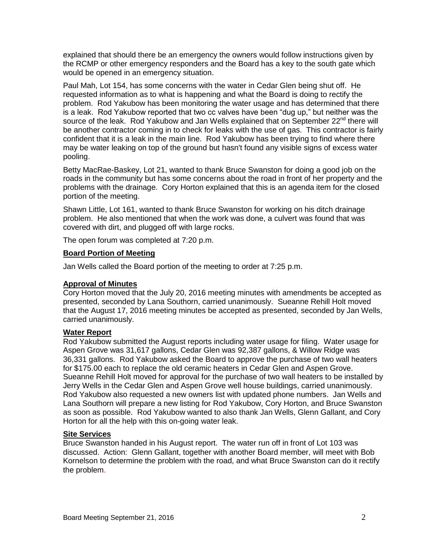explained that should there be an emergency the owners would follow instructions given by the RCMP or other emergency responders and the Board has a key to the south gate which would be opened in an emergency situation.

Paul Mah, Lot 154, has some concerns with the water in Cedar Glen being shut off. He requested information as to what is happening and what the Board is doing to rectify the problem. Rod Yakubow has been monitoring the water usage and has determined that there is a leak. Rod Yakubow reported that two cc valves have been "dug up," but neither was the source of the leak. Rod Yakubow and Jan Wells explained that on September 22<sup>nd</sup> there will be another contractor coming in to check for leaks with the use of gas. This contractor is fairly confident that it is a leak in the main line. Rod Yakubow has been trying to find where there may be water leaking on top of the ground but hasn't found any visible signs of excess water pooling.

Betty MacRae-Baskey, Lot 21, wanted to thank Bruce Swanston for doing a good job on the roads in the community but has some concerns about the road in front of her property and the problems with the drainage. Cory Horton explained that this is an agenda item for the closed portion of the meeting.

Shawn Little, Lot 161, wanted to thank Bruce Swanston for working on his ditch drainage problem. He also mentioned that when the work was done, a culvert was found that was covered with dirt, and plugged off with large rocks.

The open forum was completed at 7:20 p.m.

#### **Board Portion of Meeting**

Jan Wells called the Board portion of the meeting to order at 7:25 p.m.

#### **Approval of Minutes**

Cory Horton moved that the July 20, 2016 meeting minutes with amendments be accepted as presented, seconded by Lana Southorn, carried unanimously. Sueanne Rehill Holt moved that the August 17, 2016 meeting minutes be accepted as presented, seconded by Jan Wells, carried unanimously.

#### **Water Report**

Rod Yakubow submitted the August reports including water usage for filing. Water usage for Aspen Grove was 31,617 gallons, Cedar Glen was 92,387 gallons, & Willow Ridge was 36,331 gallons. Rod Yakubow asked the Board to approve the purchase of two wall heaters for \$175.00 each to replace the old ceramic heaters in Cedar Glen and Aspen Grove. Sueanne Rehill Holt moved for approval for the purchase of two wall heaters to be installed by Jerry Wells in the Cedar Glen and Aspen Grove well house buildings, carried unanimously. Rod Yakubow also requested a new owners list with updated phone numbers. Jan Wells and Lana Southorn will prepare a new listing for Rod Yakubow, Cory Horton, and Bruce Swanston as soon as possible. Rod Yakubow wanted to also thank Jan Wells, Glenn Gallant, and Cory Horton for all the help with this on-going water leak.

#### **Site Services**

Bruce Swanston handed in his August report. The water run off in front of Lot 103 was discussed. Action: Glenn Gallant, together with another Board member, will meet with Bob Kornelson to determine the problem with the road, and what Bruce Swanston can do it rectify the problem.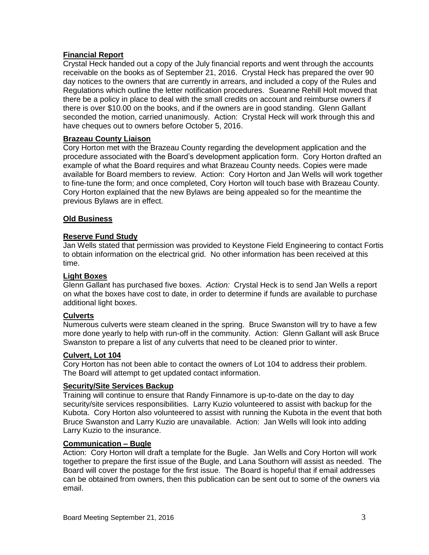## **Financial Report**

Crystal Heck handed out a copy of the July financial reports and went through the accounts receivable on the books as of September 21, 2016. Crystal Heck has prepared the over 90 day notices to the owners that are currently in arrears, and included a copy of the Rules and Regulations which outline the letter notification procedures. Sueanne Rehill Holt moved that there be a policy in place to deal with the small credits on account and reimburse owners if there is over \$10.00 on the books, and if the owners are in good standing. Glenn Gallant seconded the motion, carried unanimously. Action: Crystal Heck will work through this and have cheques out to owners before October 5, 2016.

## **Brazeau County Liaison**

Cory Horton met with the Brazeau County regarding the development application and the procedure associated with the Board's development application form. Cory Horton drafted an example of what the Board requires and what Brazeau County needs. Copies were made available for Board members to review. Action: Cory Horton and Jan Wells will work together to fine-tune the form; and once completed, Cory Horton will touch base with Brazeau County. Cory Horton explained that the new Bylaws are being appealed so for the meantime the previous Bylaws are in effect.

## **Old Business**

## **Reserve Fund Study**

Jan Wells stated that permission was provided to Keystone Field Engineering to contact Fortis to obtain information on the electrical grid. No other information has been received at this time.

#### **Light Boxes**

Glenn Gallant has purchased five boxes. *Action:* Crystal Heck is to send Jan Wells a report on what the boxes have cost to date, in order to determine if funds are available to purchase additional light boxes.

## **Culverts**

Numerous culverts were steam cleaned in the spring. Bruce Swanston will try to have a few more done yearly to help with run-off in the community. Action: Glenn Gallant will ask Bruce Swanston to prepare a list of any culverts that need to be cleaned prior to winter.

#### **Culvert, Lot 104**

Cory Horton has not been able to contact the owners of Lot 104 to address their problem. The Board will attempt to get updated contact information.

#### **Security/Site Services Backup**

Training will continue to ensure that Randy Finnamore is up-to-date on the day to day security/site services responsibilities. Larry Kuzio volunteered to assist with backup for the Kubota. Cory Horton also volunteered to assist with running the Kubota in the event that both Bruce Swanston and Larry Kuzio are unavailable. Action: Jan Wells will look into adding Larry Kuzio to the insurance.

#### **Communication – Bugle**

Action: Cory Horton will draft a template for the Bugle. Jan Wells and Cory Horton will work together to prepare the first issue of the Bugle, and Lana Southorn will assist as needed. The Board will cover the postage for the first issue. The Board is hopeful that if email addresses can be obtained from owners, then this publication can be sent out to some of the owners via email.